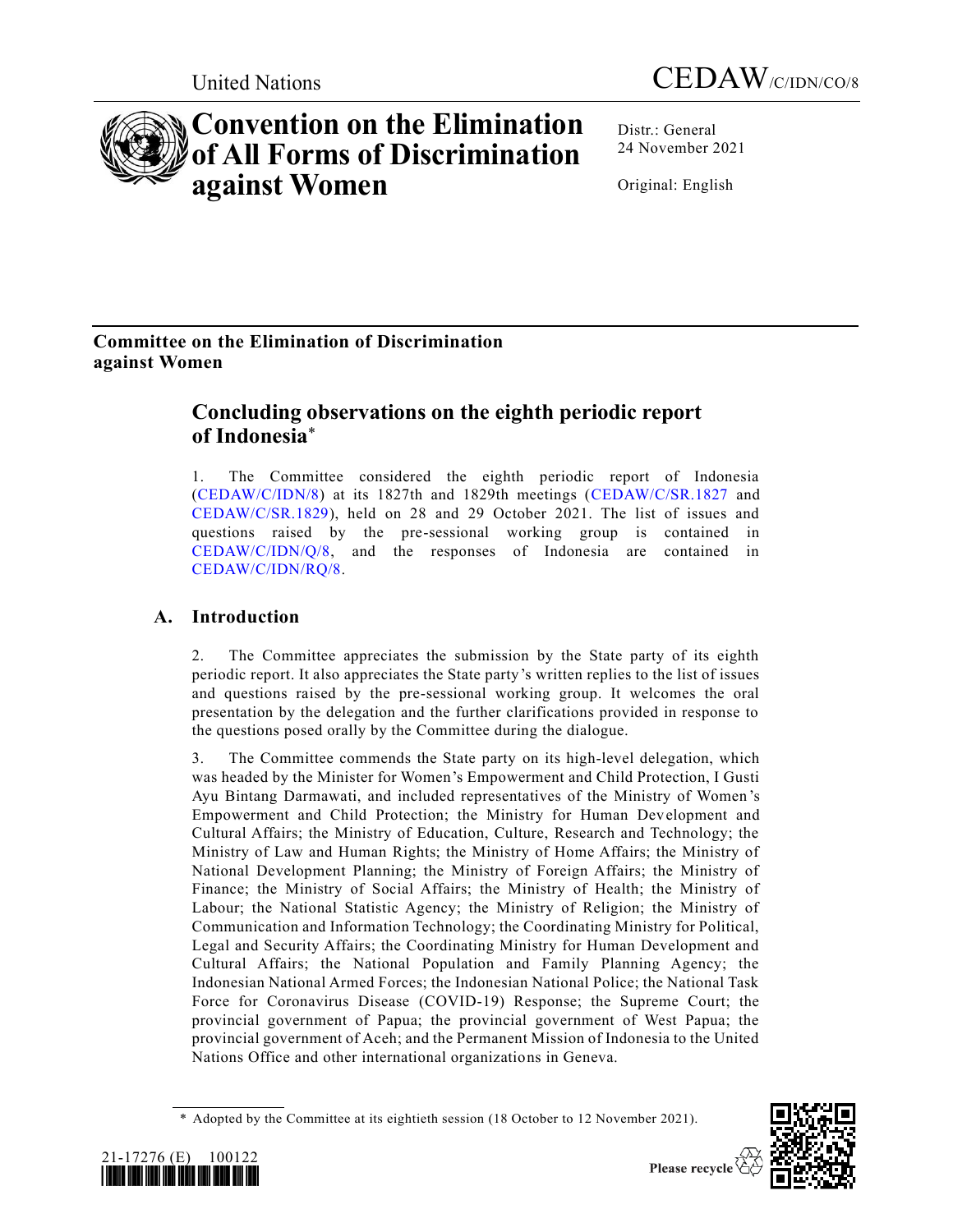

# **Convention on the Elimination of All Forms of Discrimination against Women**

Distr.: General 24 November 2021

Original: English

# **Committee on the Elimination of Discrimination against Women**

# **Concluding observations on the eighth periodic report of Indonesia**\*

1. The Committee considered the eighth periodic report of Indonesia [\(CEDAW/C/IDN/8\)](https://undocs.org/en/CEDAW/C/IDN/8) at its 1827th and 1829th meetings [\(CEDAW/C/SR.1827](https://undocs.org/en/CEDAW/C/SR.1827) and [CEDAW/C/SR.1829\)](https://undocs.org/en/CEDAW/C/SR.1829), held on 28 and 29 October 2021. The list of issues and questions raised by the pre-sessional working group is contained in [CEDAW/C/IDN/Q/8,](https://undocs.org/en/CEDAW/C/IDN/Q/8) and the responses of Indonesia are contained in [CEDAW/C/IDN/RQ/8.](https://undocs.org/en/CEDAW/C/IDN/RQ/8)

# **A. Introduction**

2. The Committee appreciates the submission by the State party of its eighth periodic report. It also appreciates the State party's written replies to the list of issues and questions raised by the pre-sessional working group. It welcomes the oral presentation by the delegation and the further clarifications provided in response to the questions posed orally by the Committee during the dialogue.

3. The Committee commends the State party on its high-level delegation, which was headed by the Minister for Women's Empowerment and Child Protection, I Gusti Ayu Bintang Darmawati, and included representatives of the Ministry of Women 's Empowerment and Child Protection; the Ministry for Human Development and Cultural Affairs; the Ministry of Education, Culture, Research and Technology; the Ministry of Law and Human Rights; the Ministry of Home Affairs; the Ministry of National Development Planning; the Ministry of Foreign Affairs; the Ministry of Finance; the Ministry of Social Affairs; the Ministry of Health; the Ministry of Labour; the National Statistic Agency; the Ministry of Religion; the Ministry of Communication and Information Technology; the Coordinating Ministry for Political, Legal and Security Affairs; the Coordinating Ministry for Human Development and Cultural Affairs; the National Population and Family Planning Agency; the Indonesian National Armed Forces; the Indonesian National Police; the National Task Force for Coronavirus Disease (COVID-19) Response; the Supreme Court; the provincial government of Papua; the provincial government of West Papua; the provincial government of Aceh; and the Permanent Mission of Indonesia to the United Nations Office and other international organizations in Geneva.

<sup>\*</sup> Adopted by the Committee at its eightieth session (18 October to 12 November 2021).



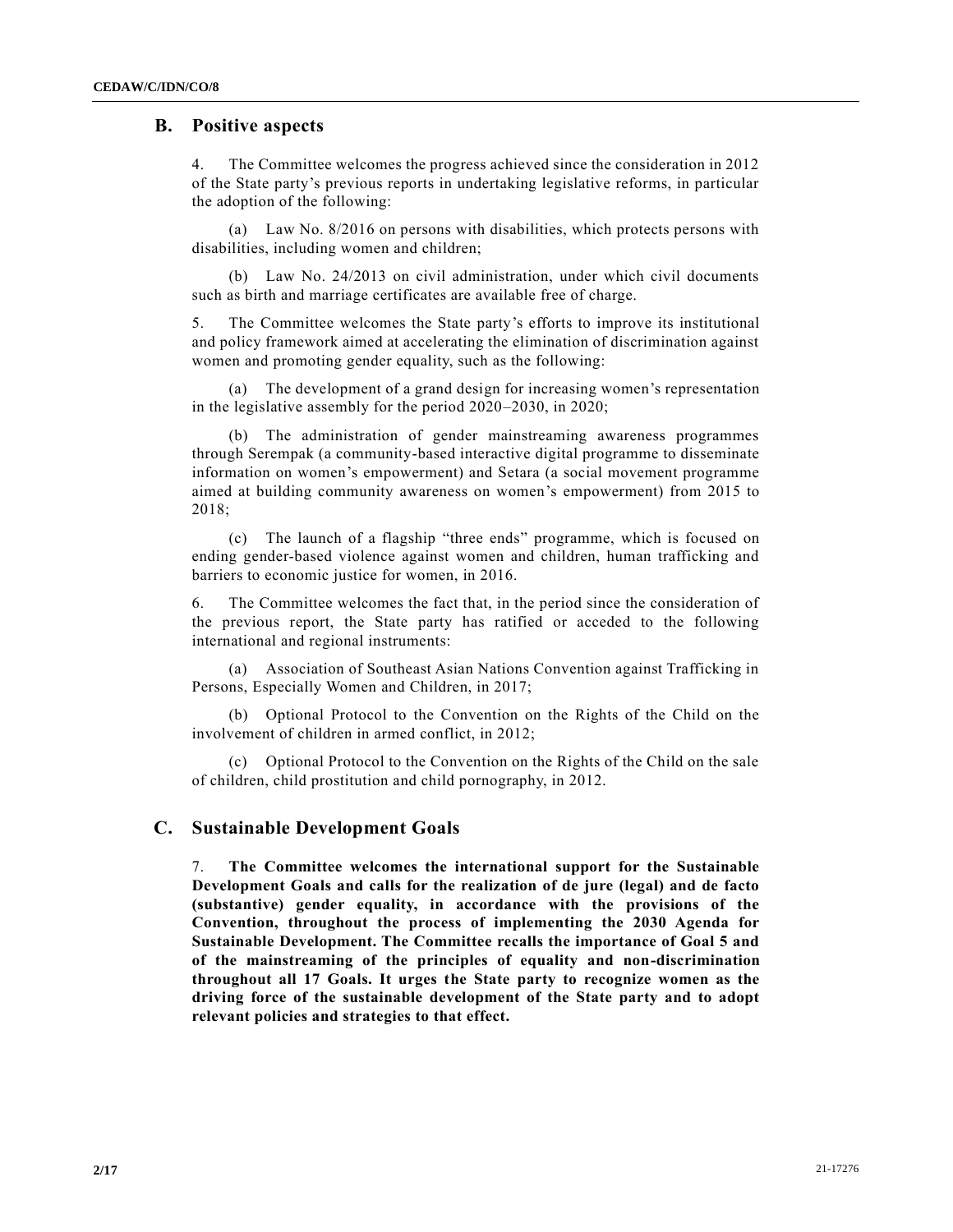# **B. Positive aspects**

4. The Committee welcomes the progress achieved since the consideration in 2012 of the State party's previous reports in undertaking legislative reforms, in particular the adoption of the following:

(a) Law No. 8/2016 on persons with disabilities, which protects persons with disabilities, including women and children;

(b) Law No. 24/2013 on civil administration, under which civil documents such as birth and marriage certificates are available free of charge.

5. The Committee welcomes the State party's efforts to improve its institutional and policy framework aimed at accelerating the elimination of discrimination against women and promoting gender equality, such as the following:

(a) The development of a grand design for increasing women's representation in the legislative assembly for the period 2020–2030, in 2020;

(b) The administration of gender mainstreaming awareness programmes through Serempak (a community-based interactive digital programme to disseminate information on women's empowerment) and Setara (a social movement programme aimed at building community awareness on women's empowerment) from 2015 to 2018;

(c) The launch of a flagship "three ends" programme, which is focused on ending gender-based violence against women and children, human trafficking and barriers to economic justice for women, in 2016.

6. The Committee welcomes the fact that, in the period since the consideration of the previous report, the State party has ratified or acceded to the following international and regional instruments:

(a) Association of Southeast Asian Nations Convention against Trafficking in Persons, Especially Women and Children, in 2017;

(b) Optional Protocol to the Convention on the Rights of the Child on the involvement of children in armed conflict, in 2012;

(c) Optional Protocol to the Convention on the Rights of the Child on the sale of children, child prostitution and child pornography, in 2012.

# **C. Sustainable Development Goals**

7. **The Committee welcomes the international support for the Sustainable Development Goals and calls for the realization of de jure (legal) and de facto (substantive) gender equality, in accordance with the provisions of the Convention, throughout the process of implementing the 2030 Agenda for Sustainable Development. The Committee recalls the importance of Goal 5 and of the mainstreaming of the principles of equality and non-discrimination throughout all 17 Goals. It urges the State party to recognize women as the driving force of the sustainable development of the State party and to adopt relevant policies and strategies to that effect.**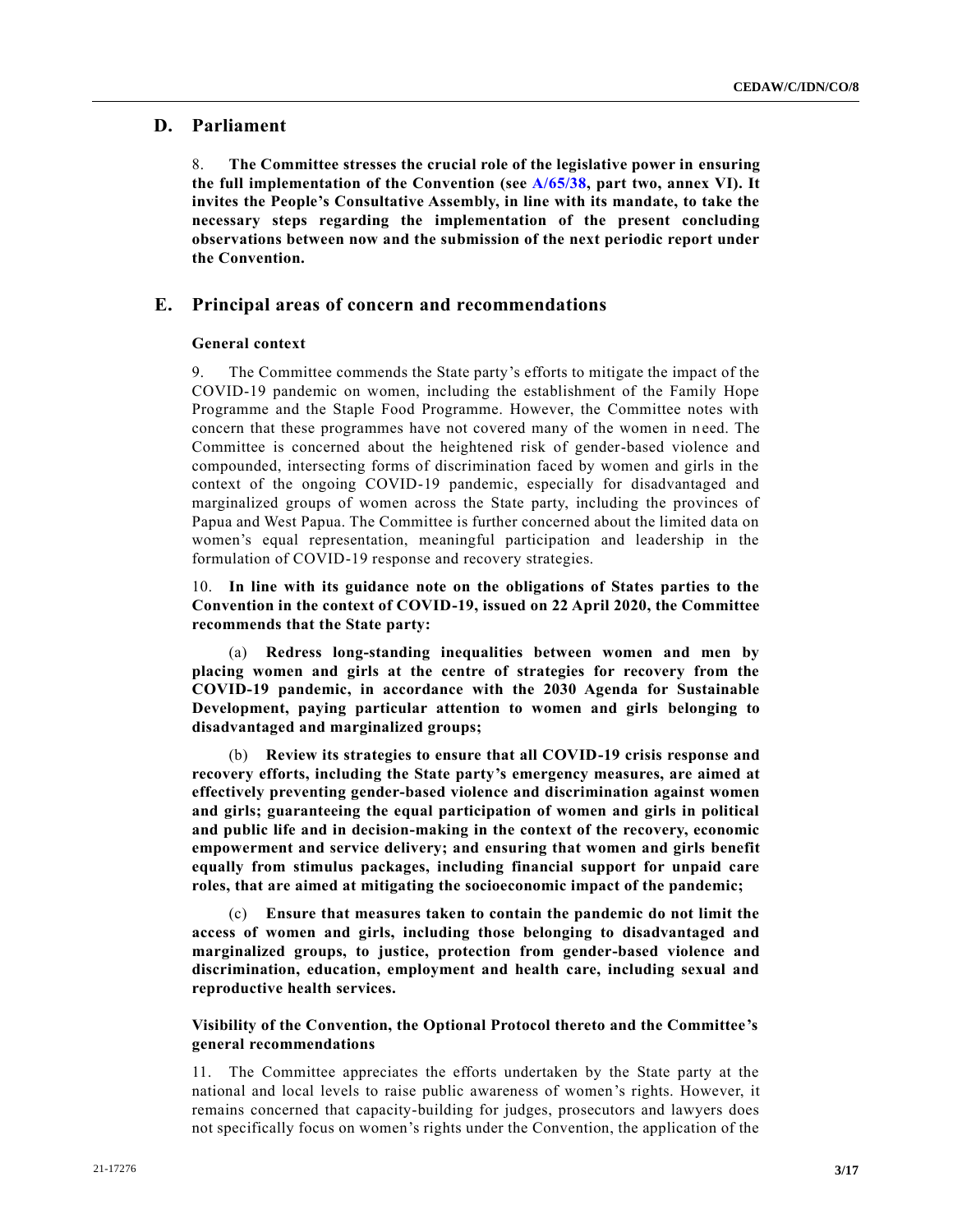# **D. Parliament**

8. **The Committee stresses the crucial role of the legislative power in ensuring the full implementation of the Convention (see [A/65/38,](https://undocs.org/en/A/65/38%20(supp)) part two, annex VI). It invites the People's Consultative Assembly, in line with its mandate, to take the necessary steps regarding the implementation of the present concluding observations between now and the submission of the next periodic report under the Convention.**

# **E. Principal areas of concern and recommendations**

# **General context**

9. The Committee commends the State party's efforts to mitigate the impact of the COVID-19 pandemic on women, including the establishment of the Family Hope Programme and the Staple Food Programme. However, the Committee notes with concern that these programmes have not covered many of the women in n eed. The Committee is concerned about the heightened risk of gender-based violence and compounded, intersecting forms of discrimination faced by women and girls in the context of the ongoing COVID-19 pandemic, especially for disadvantaged and marginalized groups of women across the State party, including the provinces of Papua and West Papua. The Committee is further concerned about the limited data on women's equal representation, meaningful participation and leadership in the formulation of COVID-19 response and recovery strategies.

10. **In line with its guidance note on the obligations of States parties to the Convention in the context of COVID-19, issued on 22 April 2020, the Committee recommends that the State party:**

(a) **Redress long-standing inequalities between women and men by placing women and girls at the centre of strategies for recovery from the COVID-19 pandemic, in accordance with the 2030 Agenda for Sustainable Development, paying particular attention to women and girls belonging to disadvantaged and marginalized groups;**

(b) **Review its strategies to ensure that all COVID-19 crisis response and recovery efforts, including the State party's emergency measures, are aimed at effectively preventing gender-based violence and discrimination against women and girls; guaranteeing the equal participation of women and girls in political and public life and in decision-making in the context of the recovery, economic empowerment and service delivery; and ensuring that women and girls benefit equally from stimulus packages, including financial support for unpaid care roles, that are aimed at mitigating the socioeconomic impact of the pandemic;**

(c) **Ensure that measures taken to contain the pandemic do not limit the access of women and girls, including those belonging to disadvantaged and marginalized groups, to justice, protection from gender-based violence and discrimination, education, employment and health care, including sexual and reproductive health services.**

# **Visibility of the Convention, the Optional Protocol thereto and the Committee's general recommendations**

11. The Committee appreciates the efforts undertaken by the State party at the national and local levels to raise public awareness of women's rights. However, it remains concerned that capacity-building for judges, prosecutors and lawyers does not specifically focus on women's rights under the Convention, the application of the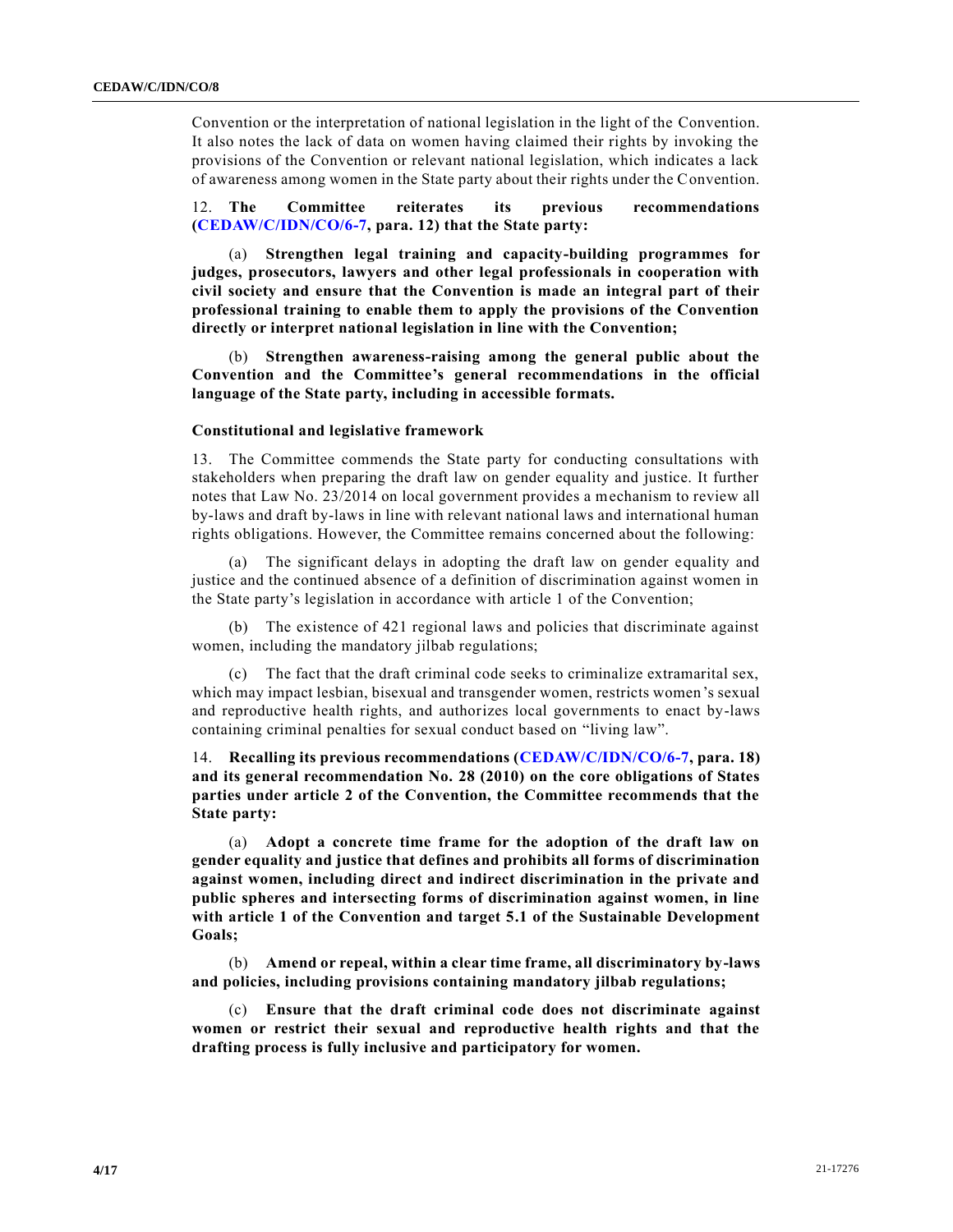Convention or the interpretation of national legislation in the light of the Convention. It also notes the lack of data on women having claimed their rights by invoking the provisions of the Convention or relevant national legislation, which indicates a lack of awareness among women in the State party about their rights under the Convention.

12. **The Committee reiterates its previous recommendations [\(CEDAW/C/IDN/CO/6-7,](https://undocs.org/en/CEDAW/C/IDN/CO/6-7) para. 12) that the State party:**

(a) **Strengthen legal training and capacity-building programmes for judges, prosecutors, lawyers and other legal professionals in cooperation with civil society and ensure that the Convention is made an integral part of their professional training to enable them to apply the provisions of the Convention directly or interpret national legislation in line with the Convention;**

(b) **Strengthen awareness-raising among the general public about the Convention and the Committee's general recommendations in the official language of the State party, including in accessible formats.**

# **Constitutional and legislative framework**

13. The Committee commends the State party for conducting consultations with stakeholders when preparing the draft law on gender equality and justice. It further notes that Law No. 23/2014 on local government provides a mechanism to review all by-laws and draft by-laws in line with relevant national laws and international human rights obligations. However, the Committee remains concerned about the following:

(a) The significant delays in adopting the draft law on gender equality and justice and the continued absence of a definition of discrimination against women in the State party's legislation in accordance with article 1 of the Convention;

(b) The existence of 421 regional laws and policies that discriminate against women, including the mandatory jilbab regulations;

(c) The fact that the draft criminal code seeks to criminalize extramarital sex, which may impact lesbian, bisexual and transgender women, restricts women's sexual and reproductive health rights, and authorizes local governments to enact by-laws containing criminal penalties for sexual conduct based on "living law".

14. **Recalling its previous recommendations [\(CEDAW/C/IDN/CO/6-7,](https://undocs.org/en/CEDAW/C/IDN/CO/6-7) para. 18) and its general recommendation No. 28 (2010) on the core obligations of States parties under article 2 of the Convention, the Committee recommends that the State party:**

(a) **Adopt a concrete time frame for the adoption of the draft law on gender equality and justice that defines and prohibits all forms of discrimination against women, including direct and indirect discrimination in the private and public spheres and intersecting forms of discrimination against women, in line with article 1 of the Convention and target 5.1 of the Sustainable Development Goals;**

(b) **Amend or repeal, within a clear time frame, all discriminatory by-laws and policies, including provisions containing mandatory jilbab regulations;**

(c) **Ensure that the draft criminal code does not discriminate against women or restrict their sexual and reproductive health rights and that the drafting process is fully inclusive and participatory for women.**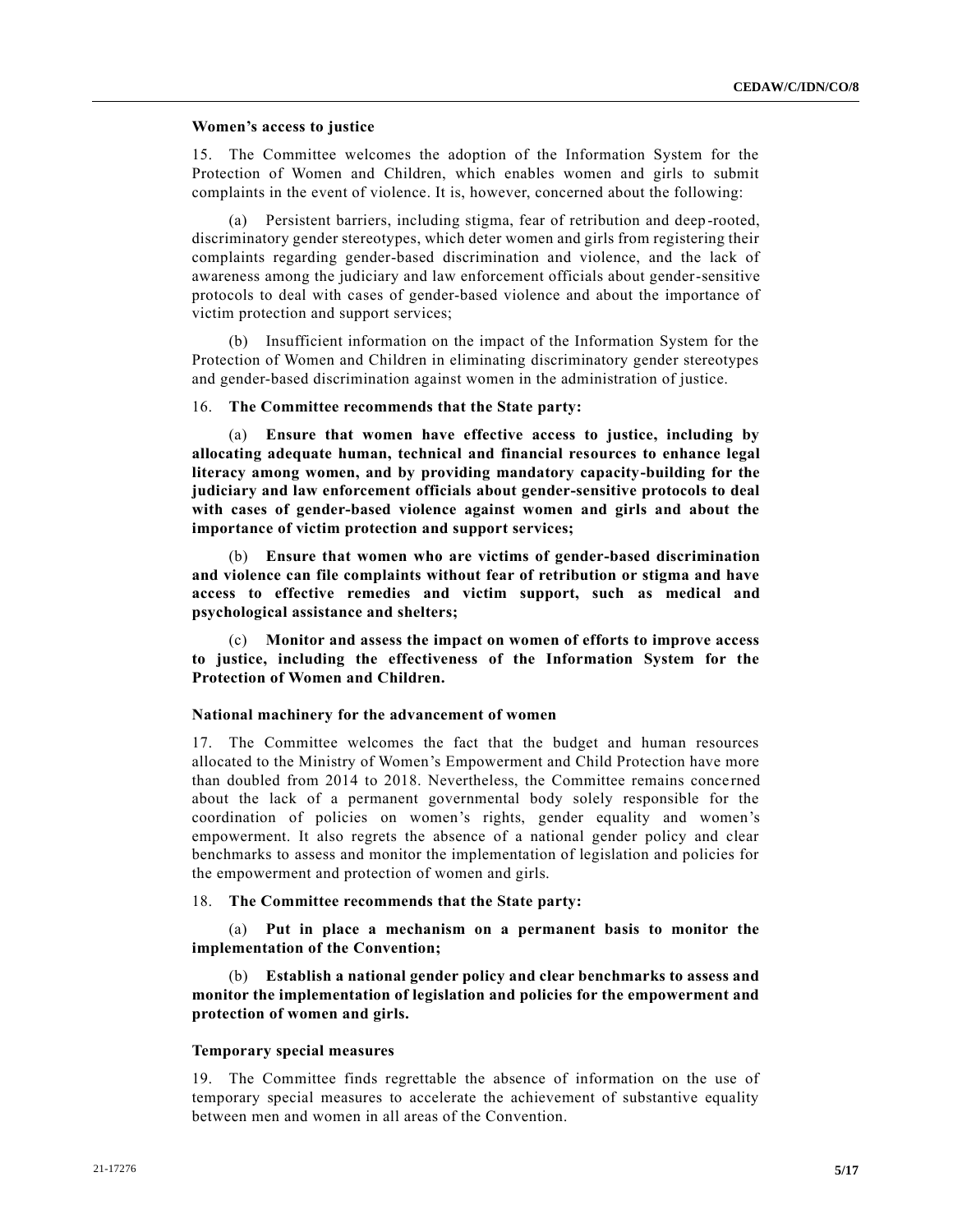# **Women's access to justice**

15. The Committee welcomes the adoption of the Information System for the Protection of Women and Children, which enables women and girls to submit complaints in the event of violence. It is, however, concerned about the following:

(a) Persistent barriers, including stigma, fear of retribution and deep -rooted, discriminatory gender stereotypes, which deter women and girls from registering their complaints regarding gender-based discrimination and violence, and the lack of awareness among the judiciary and law enforcement officials about gender-sensitive protocols to deal with cases of gender-based violence and about the importance of victim protection and support services;

(b) Insufficient information on the impact of the Information System for the Protection of Women and Children in eliminating discriminatory gender stereotypes and gender-based discrimination against women in the administration of justice.

# 16. **The Committee recommends that the State party:**

(a) **Ensure that women have effective access to justice, including by allocating adequate human, technical and financial resources to enhance legal literacy among women, and by providing mandatory capacity-building for the judiciary and law enforcement officials about gender-sensitive protocols to deal with cases of gender-based violence against women and girls and about the importance of victim protection and support services;**

(b) **Ensure that women who are victims of gender-based discrimination and violence can file complaints without fear of retribution or stigma and have access to effective remedies and victim support, such as medical and psychological assistance and shelters;**

(c) **Monitor and assess the impact on women of efforts to improve access to justice, including the effectiveness of the Information System for the Protection of Women and Children.**

# **National machinery for the advancement of women**

17. The Committee welcomes the fact that the budget and human resources allocated to the Ministry of Women's Empowerment and Child Protection have more than doubled from 2014 to 2018. Nevertheless, the Committee remains concerned about the lack of a permanent governmental body solely responsible for the coordination of policies on women's rights, gender equality and women's empowerment. It also regrets the absence of a national gender policy and clear benchmarks to assess and monitor the implementation of legislation and policies for the empowerment and protection of women and girls.

# 18. **The Committee recommends that the State party:**

(a) **Put in place a mechanism on a permanent basis to monitor the implementation of the Convention;**

(b) **Establish a national gender policy and clear benchmarks to assess and monitor the implementation of legislation and policies for the empowerment and protection of women and girls.** 

### **Temporary special measures**

19. The Committee finds regrettable the absence of information on the use of temporary special measures to accelerate the achievement of substantive equality between men and women in all areas of the Convention.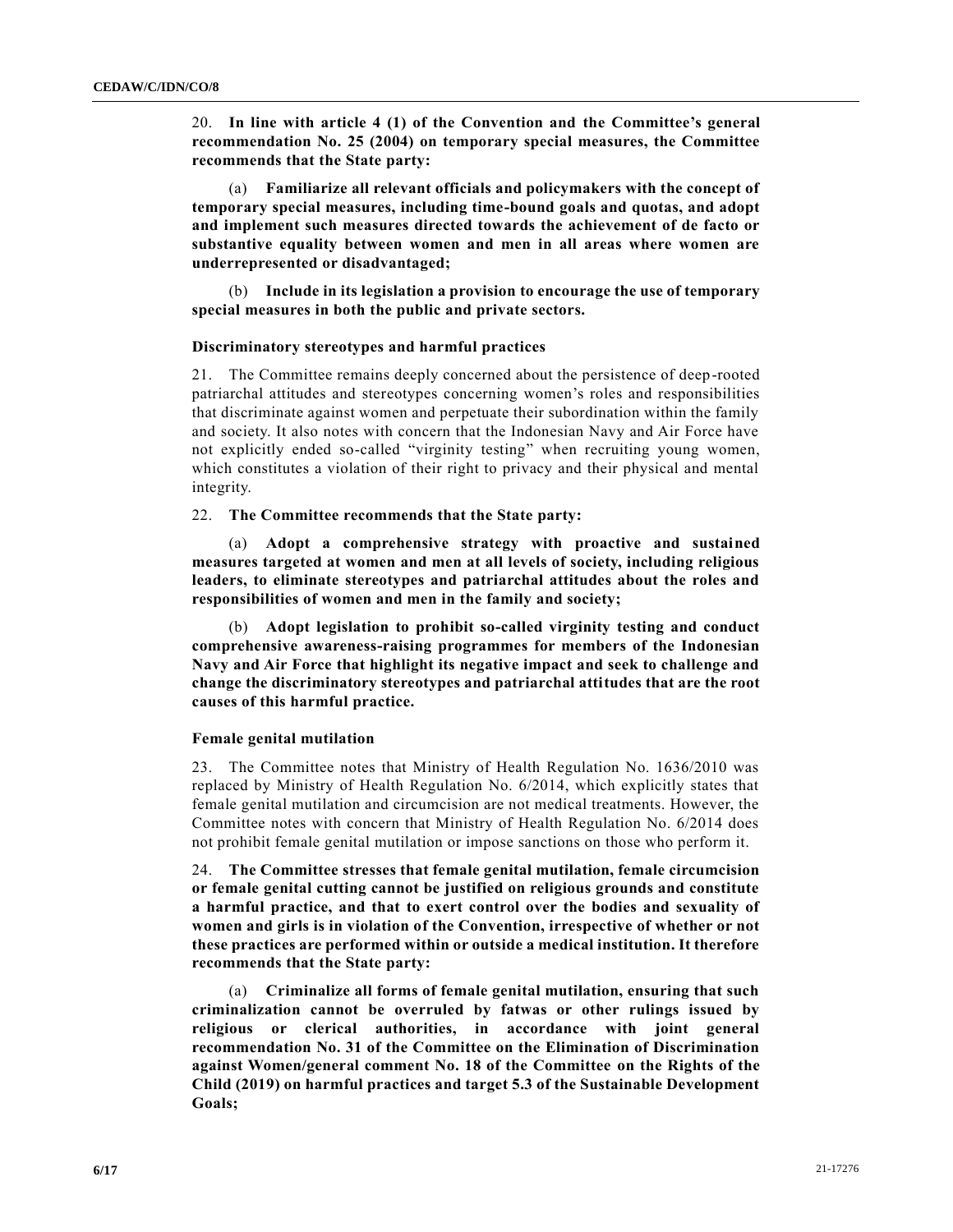20. **In line with article 4 (1) of the Convention and the Committee's general recommendation No. 25 (2004) on temporary special measures, the Committee recommends that the State party:**

(a) **Familiarize all relevant officials and policymakers with the concept of temporary special measures, including time-bound goals and quotas, and adopt and implement such measures directed towards the achievement of de facto or substantive equality between women and men in all areas where women are underrepresented or disadvantaged;**

(b) **Include in its legislation a provision to encourage the use of temporary special measures in both the public and private sectors.** 

# **Discriminatory stereotypes and harmful practices**

21. The Committee remains deeply concerned about the persistence of deep-rooted patriarchal attitudes and stereotypes concerning women's roles and responsibilities that discriminate against women and perpetuate their subordination within the family and society. It also notes with concern that the Indonesian Navy and Air Force have not explicitly ended so-called "virginity testing" when recruiting young women, which constitutes a violation of their right to privacy and their physical and mental integrity.

# 22. **The Committee recommends that the State party:**

(a) **Adopt a comprehensive strategy with proactive and sustained measures targeted at women and men at all levels of society, including religious leaders, to eliminate stereotypes and patriarchal attitudes about the roles and responsibilities of women and men in the family and society;**

(b) **Adopt legislation to prohibit so-called virginity testing and conduct comprehensive awareness-raising programmes for members of the Indonesian Navy and Air Force that highlight its negative impact and seek to challenge and change the discriminatory stereotypes and patriarchal attitudes that are the root causes of this harmful practice.**

### **Female genital mutilation**

23. The Committee notes that Ministry of Health Regulation No. 1636/2010 was replaced by Ministry of Health Regulation No. 6/2014, which explicitly states that female genital mutilation and circumcision are not medical treatments. However, the Committee notes with concern that Ministry of Health Regulation No. 6/2014 does not prohibit female genital mutilation or impose sanctions on those who perform it.

24. **The Committee stresses that female genital mutilation, female circumcision or female genital cutting cannot be justified on religious grounds and constitute a harmful practice, and that to exert control over the bodies and sexuality of women and girls is in violation of the Convention, irrespective of whether or not these practices are performed within or outside a medical institution. It therefore recommends that the State party:**

(a) **Criminalize all forms of female genital mutilation, ensuring that such criminalization cannot be overruled by fatwas or other rulings issued by religious or clerical authorities, in accordance with joint general recommendation No. 31 of the Committee on the Elimination of Discrimination against Women/general comment No. 18 of the Committee on the Rights of the Child (2019) on harmful practices and target 5.3 of the Sustainable Development Goals;**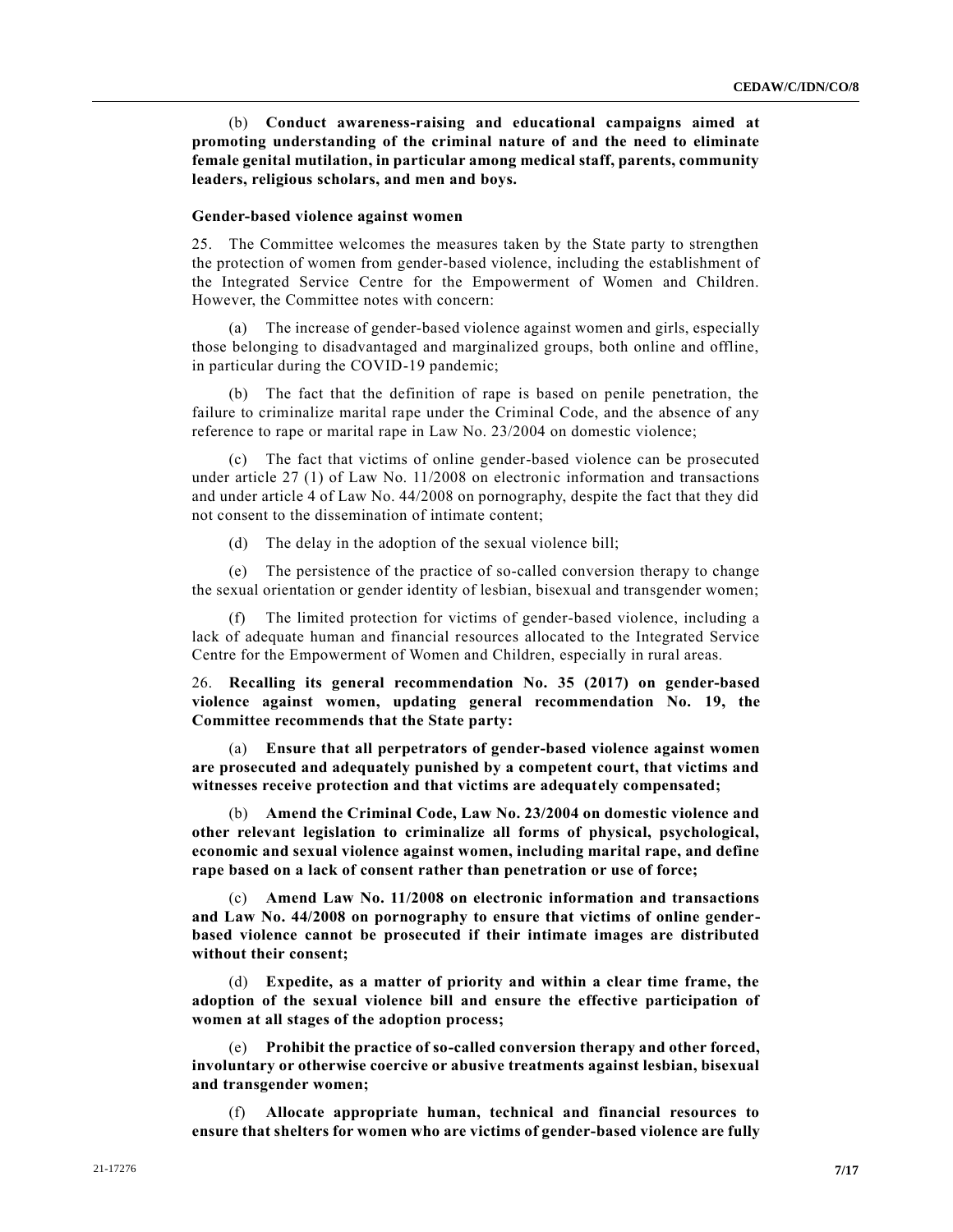(b) **Conduct awareness-raising and educational campaigns aimed at promoting understanding of the criminal nature of and the need to eliminate female genital mutilation, in particular among medical staff, parents, community leaders, religious scholars, and men and boys.**

### **Gender-based violence against women**

25. The Committee welcomes the measures taken by the State party to strengthen the protection of women from gender-based violence, including the establishment of the Integrated Service Centre for the Empowerment of Women and Children. However, the Committee notes with concern:

(a) The increase of gender-based violence against women and girls, especially those belonging to disadvantaged and marginalized groups, both online and offline, in particular during the COVID-19 pandemic;

(b) The fact that the definition of rape is based on penile penetration, the failure to criminalize marital rape under the Criminal Code, and the absence of any reference to rape or marital rape in Law No. 23/2004 on domestic violence;

(c) The fact that victims of online gender-based violence can be prosecuted under article 27 (1) of Law No. 11/2008 on electronic information and transactions and under article 4 of Law No. 44/2008 on pornography, despite the fact that they did not consent to the dissemination of intimate content;

(d) The delay in the adoption of the sexual violence bill;

(e) The persistence of the practice of so-called conversion therapy to change the sexual orientation or gender identity of lesbian, bisexual and transgender women;

(f) The limited protection for victims of gender-based violence, including a lack of adequate human and financial resources allocated to the Integrated Service Centre for the Empowerment of Women and Children, especially in rural areas.

26. **Recalling its general recommendation No. 35 (2017) on gender-based violence against women, updating general recommendation No. 19, the Committee recommends that the State party:**

(a) **Ensure that all perpetrators of gender-based violence against women are prosecuted and adequately punished by a competent court, that victims and witnesses receive protection and that victims are adequately compensated;**

(b) **Amend the Criminal Code, Law No. 23/2004 on domestic violence and other relevant legislation to criminalize all forms of physical, psychological, economic and sexual violence against women, including marital rape, and define rape based on a lack of consent rather than penetration or use of force;**

(c) **Amend Law No. 11/2008 on electronic information and transactions and Law No. 44/2008 on pornography to ensure that victims of online genderbased violence cannot be prosecuted if their intimate images are distributed without their consent;** 

(d) **Expedite, as a matter of priority and within a clear time frame, the adoption of the sexual violence bill and ensure the effective participation of women at all stages of the adoption process;**

(e) **Prohibit the practice of so-called conversion therapy and other forced, involuntary or otherwise coercive or abusive treatments against lesbian, bisexual and transgender women;**

(f) **Allocate appropriate human, technical and financial resources to ensure that shelters for women who are victims of gender-based violence are fully**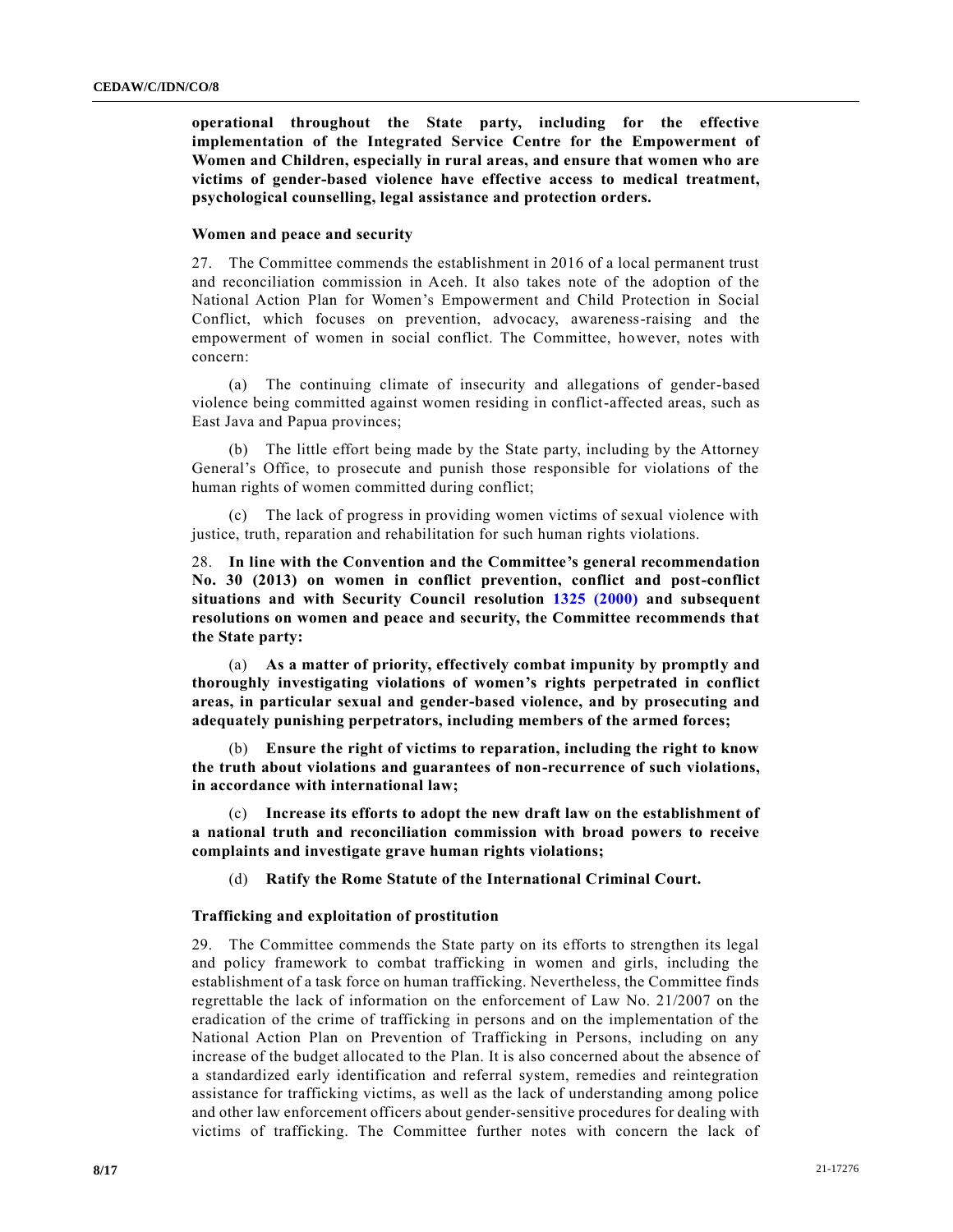**operational throughout the State party, including for the effective implementation of the Integrated Service Centre for the Empowerment of Women and Children, especially in rural areas, and ensure that women who are victims of gender-based violence have effective access to medical treatment, psychological counselling, legal assistance and protection orders.**

# **Women and peace and security**

27. The Committee commends the establishment in 2016 of a local permanent trust and reconciliation commission in Aceh. It also takes note of the adoption of the National Action Plan for Women's Empowerment and Child Protection in Social Conflict, which focuses on prevention, advocacy, awareness-raising and the empowerment of women in social conflict. The Committee, however, notes with concern:

(a) The continuing climate of insecurity and allegations of gender-based violence being committed against women residing in conflict-affected areas, such as East Java and Papua provinces;

(b) The little effort being made by the State party, including by the Attorney General's Office, to prosecute and punish those responsible for violations of the human rights of women committed during conflict;

(c) The lack of progress in providing women victims of sexual violence with justice, truth, reparation and rehabilitation for such human rights violations.

28. **In line with the Convention and the Committee's general recommendation No. 30 (2013) on women in conflict prevention, conflict and post-conflict situations and with Security Council resolution [1325 \(2000\)](https://undocs.org/en/S/RES/1325(2000)) and subsequent resolutions on women and peace and security, the Committee recommends that the State party:** 

(a) **As a matter of priority, effectively combat impunity by promptly and thoroughly investigating violations of women's rights perpetrated in conflict areas, in particular sexual and gender-based violence, and by prosecuting and adequately punishing perpetrators, including members of the armed forces;** 

(b) **Ensure the right of victims to reparation, including the right to know the truth about violations and guarantees of non-recurrence of such violations, in accordance with international law;**

(c) **Increase its efforts to adopt the new draft law on the establishment of a national truth and reconciliation commission with broad powers to receive complaints and investigate grave human rights violations;**

(d) **Ratify the Rome Statute of the International Criminal Court.**

# **Trafficking and exploitation of prostitution**

29. The Committee commends the State party on its efforts to strengthen its legal and policy framework to combat trafficking in women and girls, including the establishment of a task force on human trafficking. Nevertheless, the Committee finds regrettable the lack of information on the enforcement of Law No. 21/2007 on the eradication of the crime of trafficking in persons and on the implementation of the National Action Plan on Prevention of Trafficking in Persons, including on any increase of the budget allocated to the Plan. It is also concerned about the absence of a standardized early identification and referral system, remedies and reintegration assistance for trafficking victims, as well as the lack of understanding among police and other law enforcement officers about gender-sensitive procedures for dealing with victims of trafficking. The Committee further notes with concern the lack of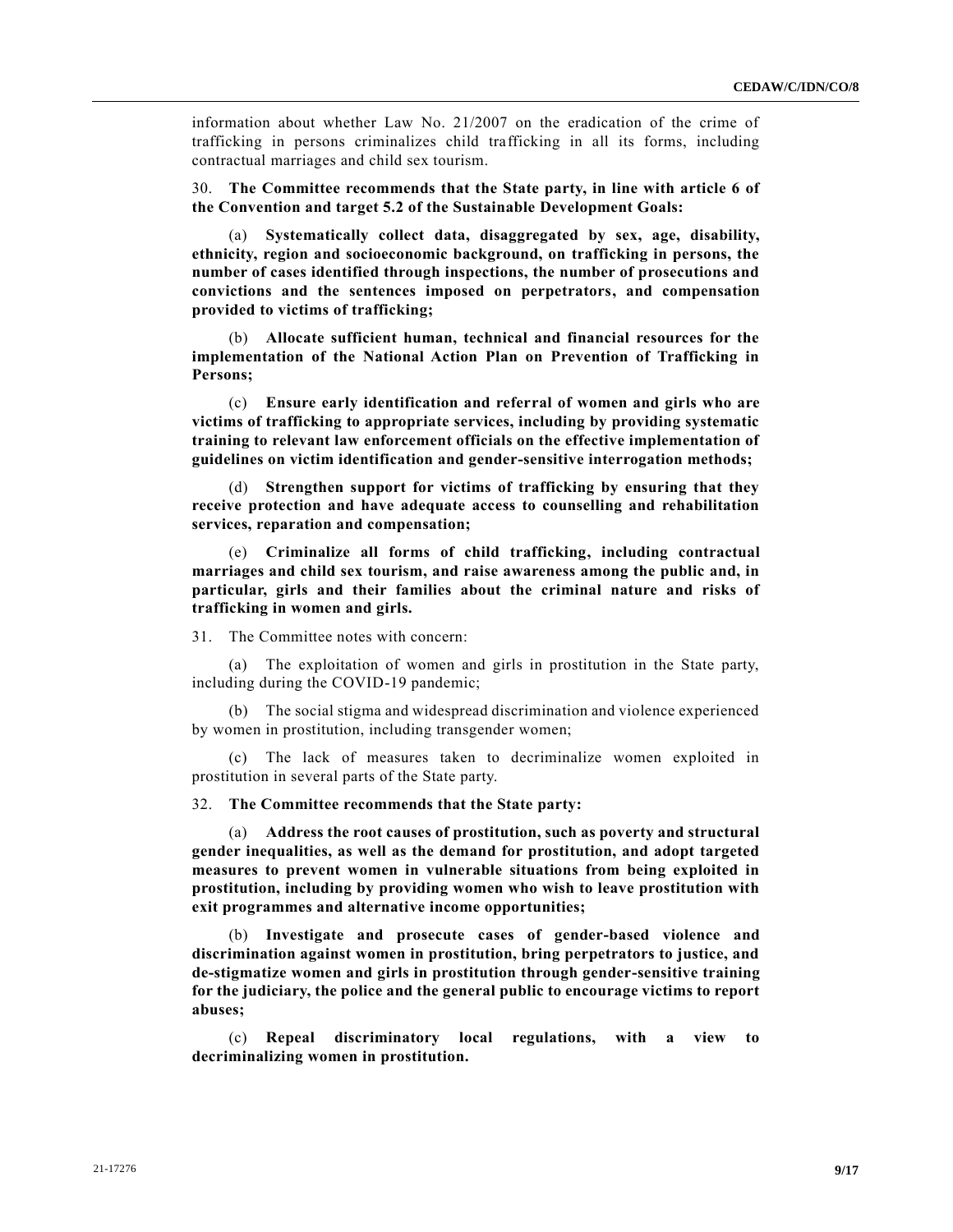information about whether Law No. 21/2007 on the eradication of the crime of trafficking in persons criminalizes child trafficking in all its forms, including contractual marriages and child sex tourism.

30. **The Committee recommends that the State party, in line with article 6 of the Convention and target 5.2 of the Sustainable Development Goals:**

(a) **Systematically collect data, disaggregated by sex, age, disability, ethnicity, region and socioeconomic background, on trafficking in persons, the number of cases identified through inspections, the number of prosecutions and convictions and the sentences imposed on perpetrators, and compensation provided to victims of trafficking;**

(b) **Allocate sufficient human, technical and financial resources for the implementation of the National Action Plan on Prevention of Trafficking in Persons;** 

(c) **Ensure early identification and referral of women and girls who are victims of trafficking to appropriate services, including by providing systematic training to relevant law enforcement officials on the effective implementation of guidelines on victim identification and gender-sensitive interrogation methods;**

(d) **Strengthen support for victims of trafficking by ensuring that they receive protection and have adequate access to counselling and rehabilitation services, reparation and compensation;**

(e) **Criminalize all forms of child trafficking, including contractual marriages and child sex tourism, and raise awareness among the public and, in particular, girls and their families about the criminal nature and risks of trafficking in women and girls.**

31. The Committee notes with concern:

(a) The exploitation of women and girls in prostitution in the State party, including during the COVID-19 pandemic;

(b) The social stigma and widespread discrimination and violence experienced by women in prostitution, including transgender women;

(c) The lack of measures taken to decriminalize women exploited in prostitution in several parts of the State party.

32. **The Committee recommends that the State party:**

(a) **Address the root causes of prostitution, such as poverty and structural gender inequalities, as well as the demand for prostitution, and adopt targeted measures to prevent women in vulnerable situations from being exploited in prostitution, including by providing women who wish to leave prostitution with exit programmes and alternative income opportunities;**

(b) **Investigate and prosecute cases of gender-based violence and discrimination against women in prostitution, bring perpetrators to justice, and de-stigmatize women and girls in prostitution through gender-sensitive training for the judiciary, the police and the general public to encourage victims to report abuses;**

(c) **Repeal discriminatory local regulations, with a view to decriminalizing women in prostitution.**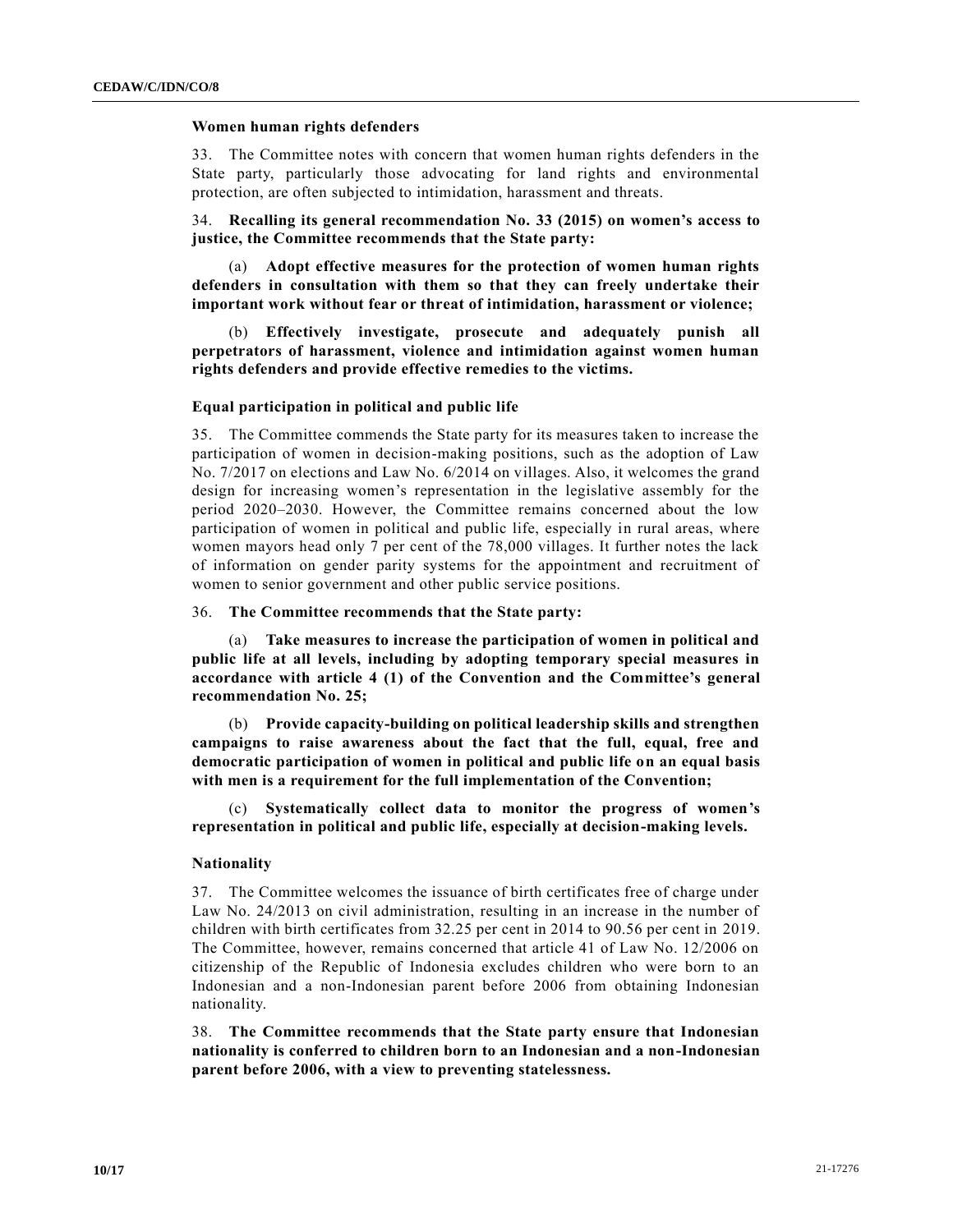# **Women human rights defenders**

33. The Committee notes with concern that women human rights defenders in the State party, particularly those advocating for land rights and environmental protection, are often subjected to intimidation, harassment and threats.

34. **Recalling its general recommendation No. 33 (2015) on women's access to justice, the Committee recommends that the State party:**

(a) **Adopt effective measures for the protection of women human rights defenders in consultation with them so that they can freely undertake their important work without fear or threat of intimidation, harassment or violence;**

(b) **Effectively investigate, prosecute and adequately punish all perpetrators of harassment, violence and intimidation against women human rights defenders and provide effective remedies to the victims.**

### **Equal participation in political and public life**

35. The Committee commends the State party for its measures taken to increase the participation of women in decision-making positions, such as the adoption of Law No. 7/2017 on elections and Law No. 6/2014 on villages. Also, it welcomes the grand design for increasing women's representation in the legislative assembly for the period 2020–2030. However, the Committee remains concerned about the low participation of women in political and public life, especially in rural areas, where women mayors head only 7 per cent of the 78,000 villages. It further notes the lack of information on gender parity systems for the appointment and recruitment of women to senior government and other public service positions.

# 36. **The Committee recommends that the State party:**

(a) **Take measures to increase the participation of women in political and public life at all levels, including by adopting temporary special measures in accordance with article 4 (1) of the Convention and the Committee's general recommendation No. 25;**

(b) **Provide capacity-building on political leadership skills and strengthen campaigns to raise awareness about the fact that the full, equal, free and democratic participation of women in political and public life on an equal basis with men is a requirement for the full implementation of the Convention;**

(c) **Systematically collect data to monitor the progress of women's representation in political and public life, especially at decision-making levels.**

#### **Nationality**

37. The Committee welcomes the issuance of birth certificates free of charge under Law No. 24/2013 on civil administration, resulting in an increase in the number of children with birth certificates from 32.25 per cent in 2014 to 90.56 per cent in 2019. The Committee, however, remains concerned that article 41 of Law No. 12/2006 on citizenship of the Republic of Indonesia excludes children who were born to an Indonesian and a non-Indonesian parent before 2006 from obtaining Indonesian nationality.

38. **The Committee recommends that the State party ensure that Indonesian nationality is conferred to children born to an Indonesian and a non-Indonesian parent before 2006, with a view to preventing statelessness.**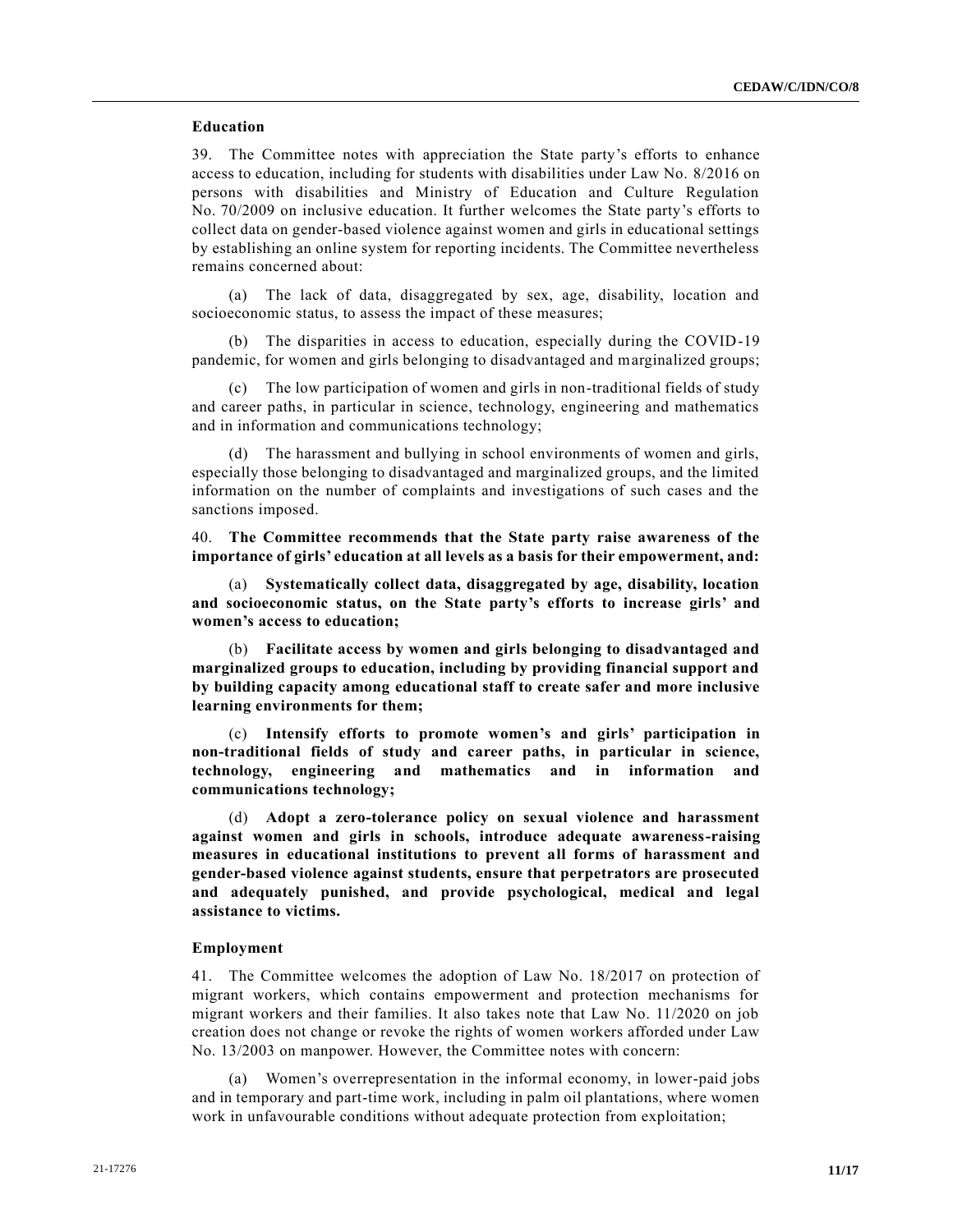# **Education**

39. The Committee notes with appreciation the State party's efforts to enhance access to education, including for students with disabilities under Law No. 8/2016 on persons with disabilities and Ministry of Education and Culture Regulation No. 70/2009 on inclusive education. It further welcomes the State party's efforts to collect data on gender-based violence against women and girls in educational settings by establishing an online system for reporting incidents. The Committee nevertheless remains concerned about:

(a) The lack of data, disaggregated by sex, age, disability, location and socioeconomic status, to assess the impact of these measures;

(b) The disparities in access to education, especially during the COVID-19 pandemic, for women and girls belonging to disadvantaged and marginalized groups;

(c) The low participation of women and girls in non-traditional fields of study and career paths, in particular in science, technology, engineering and mathematics and in information and communications technology;

(d) The harassment and bullying in school environments of women and girls, especially those belonging to disadvantaged and marginalized groups, and the limited information on the number of complaints and investigations of such cases and the sanctions imposed.

40. **The Committee recommends that the State party raise awareness of the importance of girls' education at all levels as a basis for their empowerment, and:** 

(a) **Systematically collect data, disaggregated by age, disability, location and socioeconomic status, on the State party's efforts to increase girls' and women's access to education;**

(b) **Facilitate access by women and girls belonging to disadvantaged and marginalized groups to education, including by providing financial support and by building capacity among educational staff to create safer and more inclusive learning environments for them;**

(c) **Intensify efforts to promote women's and girls' participation in non-traditional fields of study and career paths, in particular in science, technology, engineering and mathematics and in information and communications technology;**

(d) **Adopt a zero-tolerance policy on sexual violence and harassment against women and girls in schools, introduce adequate awareness-raising measures in educational institutions to prevent all forms of harassment and gender-based violence against students, ensure that perpetrators are prosecuted and adequately punished, and provide psychological, medical and legal assistance to victims.**

# **Employment**

41. The Committee welcomes the adoption of Law No. 18/2017 on protection of migrant workers, which contains empowerment and protection mechanisms for migrant workers and their families. It also takes note that Law No. 11/2020 on job creation does not change or revoke the rights of women workers afforded under Law No. 13/2003 on manpower. However, the Committee notes with concern:

Women's overrepresentation in the informal economy, in lower-paid jobs and in temporary and part-time work, including in palm oil plantations, where women work in unfavourable conditions without adequate protection from exploitation;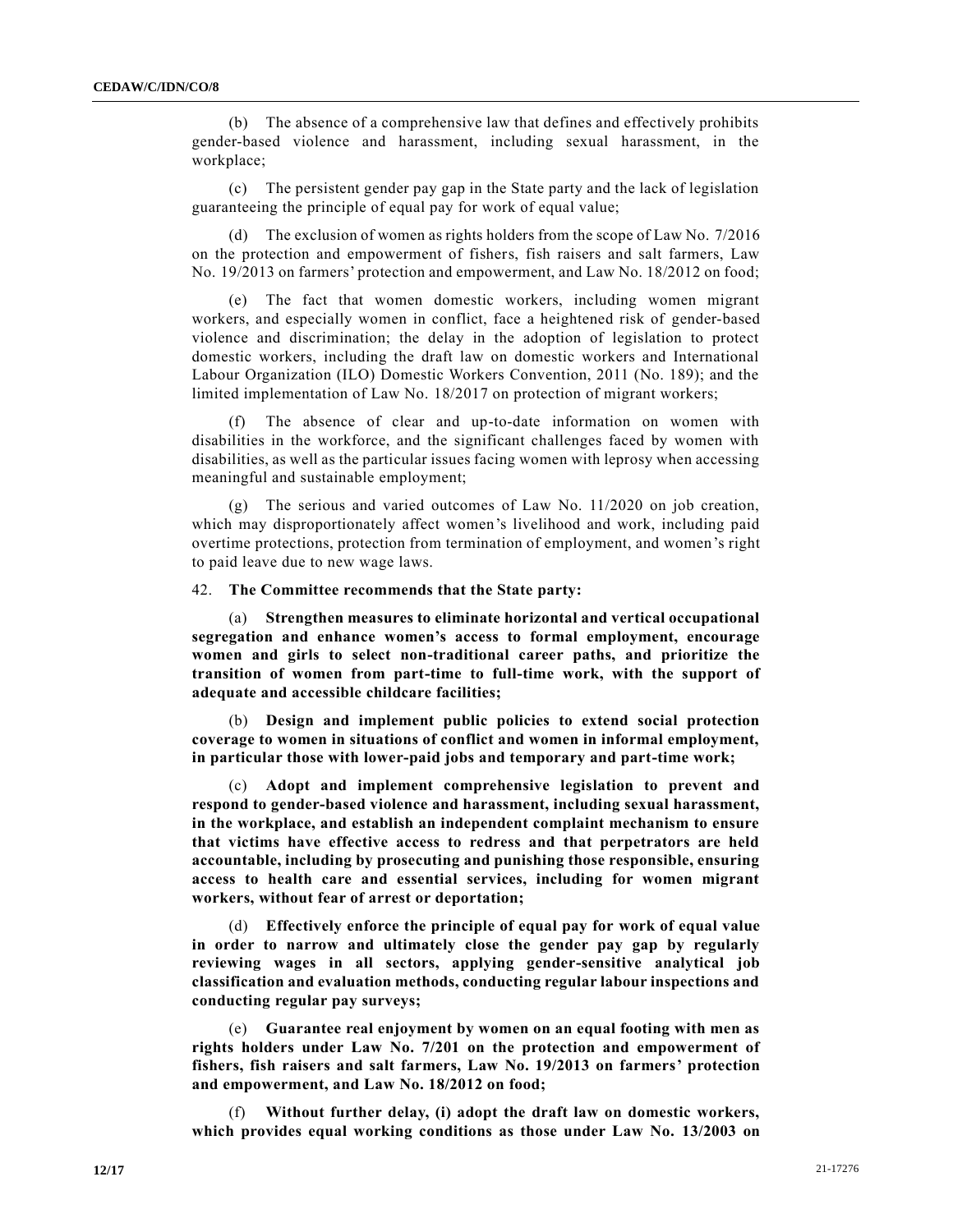(b) The absence of a comprehensive law that defines and effectively prohibits gender-based violence and harassment, including sexual harassment, in the workplace;

(c) The persistent gender pay gap in the State party and the lack of legislation guaranteeing the principle of equal pay for work of equal value;

(d) The exclusion of women as rights holders from the scope of Law No. 7/2016 on the protection and empowerment of fishers, fish raisers and salt farmers, Law No. 19/2013 on farmers' protection and empowerment, and Law No. 18/2012 on food;

(e) The fact that women domestic workers, including women migrant workers, and especially women in conflict, face a heightened risk of gender-based violence and discrimination; the delay in the adoption of legislation to protect domestic workers, including the draft law on domestic workers and International Labour Organization (ILO) Domestic Workers Convention, 2011 (No. 189); and the limited implementation of Law No. 18/2017 on protection of migrant workers;

The absence of clear and up-to-date information on women with disabilities in the workforce, and the significant challenges faced by women with disabilities, as well as the particular issues facing women with leprosy when accessing meaningful and sustainable employment;

(g) The serious and varied outcomes of Law No. 11/2020 on job creation, which may disproportionately affect women's livelihood and work, including paid overtime protections, protection from termination of employment, and women's right to paid leave due to new wage laws.

42. **The Committee recommends that the State party:**

(a) **Strengthen measures to eliminate horizontal and vertical occupational segregation and enhance women's access to formal employment, encourage women and girls to select non-traditional career paths, and prioritize the transition of women from part-time to full-time work, with the support of adequate and accessible childcare facilities;**

(b) **Design and implement public policies to extend social protection coverage to women in situations of conflict and women in informal employment, in particular those with lower-paid jobs and temporary and part-time work;**

(c) **Adopt and implement comprehensive legislation to prevent and respond to gender-based violence and harassment, including sexual harassment, in the workplace, and establish an independent complaint mechanism to ensure that victims have effective access to redress and that perpetrators are held accountable, including by prosecuting and punishing those responsible, ensuring access to health care and essential services, including for women migrant workers, without fear of arrest or deportation;**

(d) **Effectively enforce the principle of equal pay for work of equal value in order to narrow and ultimately close the gender pay gap by regularly reviewing wages in all sectors, applying gender-sensitive analytical job classification and evaluation methods, conducting regular labour inspections and conducting regular pay surveys;**

(e) **Guarantee real enjoyment by women on an equal footing with men as rights holders under Law No. 7/201 on the protection and empowerment of fishers, fish raisers and salt farmers, Law No. 19/2013 on farmers' protection and empowerment, and Law No. 18/2012 on food;** 

(f) **Without further delay, (i) adopt the draft law on domestic workers, which provides equal working conditions as those under Law No. 13/2003 on**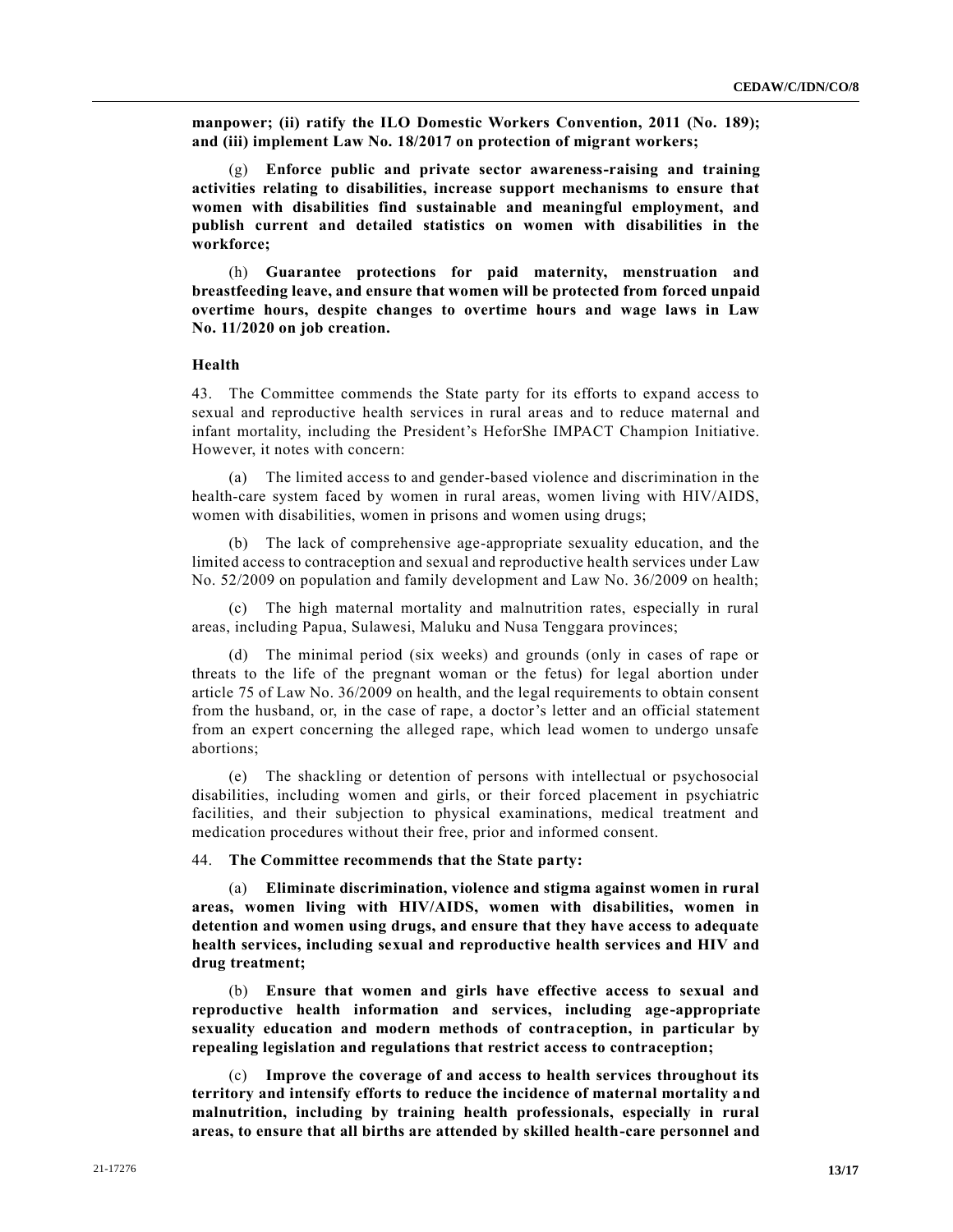**manpower; (ii) ratify the ILO Domestic Workers Convention, 2011 (No. 189); and (iii) implement Law No. 18/2017 on protection of migrant workers;**

(g) **Enforce public and private sector awareness-raising and training activities relating to disabilities, increase support mechanisms to ensure that women with disabilities find sustainable and meaningful employment, and publish current and detailed statistics on women with disabilities in the workforce;**

(h) **Guarantee protections for paid maternity, menstruation and breastfeeding leave, and ensure that women will be protected from forced unpaid overtime hours, despite changes to overtime hours and wage laws in Law No. 11/2020 on job creation.**

#### **Health**

43. The Committee commends the State party for its efforts to expand access to sexual and reproductive health services in rural areas and to reduce maternal and infant mortality, including the President's HeforShe IMPACT Champion Initiative. However, it notes with concern:

(a) The limited access to and gender-based violence and discrimination in the health-care system faced by women in rural areas, women living with HIV/AIDS, women with disabilities, women in prisons and women using drugs;

(b) The lack of comprehensive age-appropriate sexuality education, and the limited access to contraception and sexual and reproductive health services under Law No. 52/2009 on population and family development and Law No. 36/2009 on health;

(c) The high maternal mortality and malnutrition rates, especially in rural areas, including Papua, Sulawesi, Maluku and Nusa Tenggara provinces;

(d) The minimal period (six weeks) and grounds (only in cases of rape or threats to the life of the pregnant woman or the fetus) for legal abortion under article 75 of Law No. 36/2009 on health, and the legal requirements to obtain consent from the husband, or, in the case of rape, a doctor's letter and an official statement from an expert concerning the alleged rape, which lead women to undergo unsafe abortions;

(e) The shackling or detention of persons with intellectual or psychosocial disabilities, including women and girls, or their forced placement in psychiatric facilities, and their subjection to physical examinations, medical treatment and medication procedures without their free, prior and informed consent.

#### 44. **The Committee recommends that the State party:**

(a) **Eliminate discrimination, violence and stigma against women in rural areas, women living with HIV/AIDS, women with disabilities, women in detention and women using drugs, and ensure that they have access to adequate health services, including sexual and reproductive health services and HIV and drug treatment;** 

(b) **Ensure that women and girls have effective access to sexual and reproductive health information and services, including age-appropriate sexuality education and modern methods of contraception, in particular by repealing legislation and regulations that restrict access to contraception;**

(c) **Improve the coverage of and access to health services throughout its territory and intensify efforts to reduce the incidence of maternal mortality and malnutrition, including by training health professionals, especially in rural areas, to ensure that all births are attended by skilled health-care personnel and**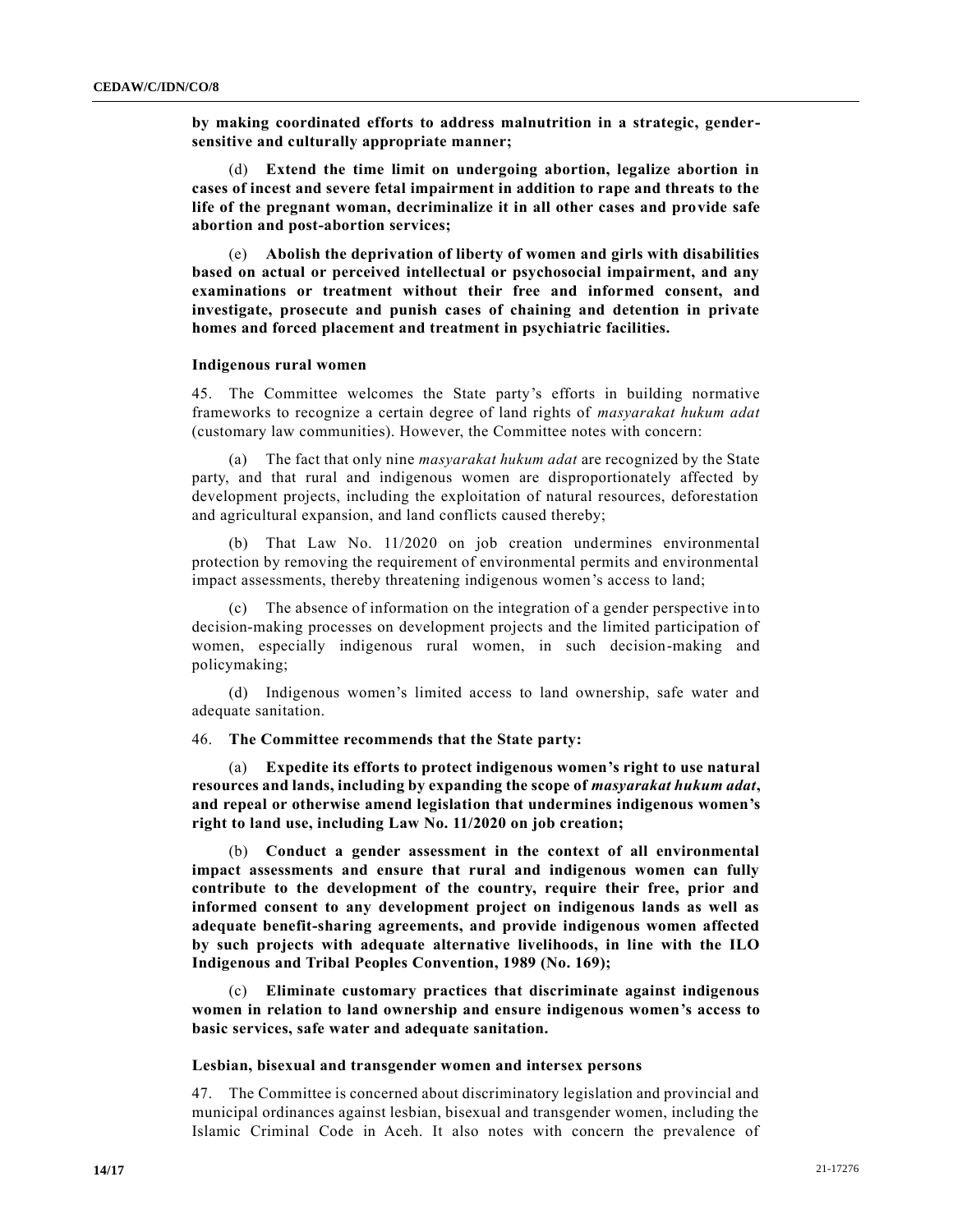**by making coordinated efforts to address malnutrition in a strategic, gendersensitive and culturally appropriate manner;**

(d) **Extend the time limit on undergoing abortion, legalize abortion in cases of incest and severe fetal impairment in addition to rape and threats to the life of the pregnant woman, decriminalize it in all other cases and provide safe abortion and post-abortion services;**

(e) **Abolish the deprivation of liberty of women and girls with disabilities based on actual or perceived intellectual or psychosocial impairment, and any examinations or treatment without their free and informed consent, and investigate, prosecute and punish cases of chaining and detention in private homes and forced placement and treatment in psychiatric facilities.**

#### **Indigenous rural women**

45. The Committee welcomes the State party's efforts in building normative frameworks to recognize a certain degree of land rights of *masyarakat hukum adat* (customary law communities). However, the Committee notes with concern:

(a) The fact that only nine *masyarakat hukum adat* are recognized by the State party, and that rural and indigenous women are disproportionately affected by development projects, including the exploitation of natural resources, deforestation and agricultural expansion, and land conflicts caused thereby;

(b) That Law No. 11/2020 on job creation undermines environmental protection by removing the requirement of environmental permits and environmental impact assessments, thereby threatening indigenous women's access to land;

(c) The absence of information on the integration of a gender perspective into decision-making processes on development projects and the limited participation of women, especially indigenous rural women, in such decision-making and policymaking;

(d) Indigenous women's limited access to land ownership, safe water and adequate sanitation.

# 46. **The Committee recommends that the State party:**

(a) **Expedite its efforts to protect indigenous women's right to use natural resources and lands, including by expanding the scope of** *masyarakat hukum adat***, and repeal or otherwise amend legislation that undermines indigenous women's right to land use, including Law No. 11/2020 on job creation;**

(b) **Conduct a gender assessment in the context of all environmental impact assessments and ensure that rural and indigenous women can fully contribute to the development of the country, require their free, prior and informed consent to any development project on indigenous lands as well as adequate benefit-sharing agreements, and provide indigenous women affected by such projects with adequate alternative livelihoods, in line with the ILO Indigenous and Tribal Peoples Convention, 1989 (No. 169);**

(c) **Eliminate customary practices that discriminate against indigenous women in relation to land ownership and ensure indigenous women's access to basic services, safe water and adequate sanitation.**

#### **Lesbian, bisexual and transgender women and intersex persons**

47. The Committee is concerned about discriminatory legislation and provincial and municipal ordinances against lesbian, bisexual and transgender women, including the Islamic Criminal Code in Aceh. It also notes with concern the prevalence of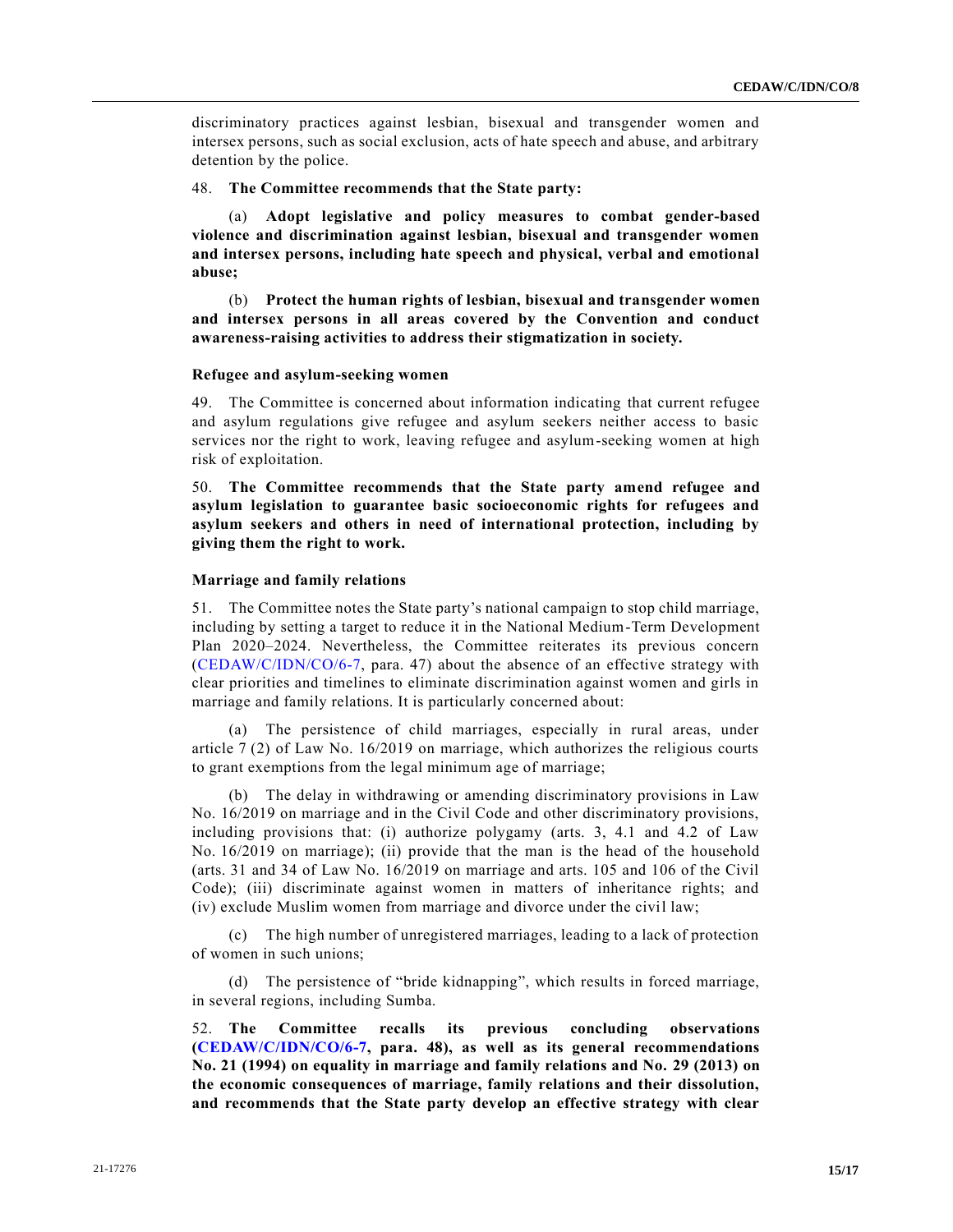discriminatory practices against lesbian, bisexual and transgender women and intersex persons, such as social exclusion, acts of hate speech and abuse, and arbitrary detention by the police.

# 48. **The Committee recommends that the State party:**

(a) **Adopt legislative and policy measures to combat gender-based violence and discrimination against lesbian, bisexual and transgender women and intersex persons, including hate speech and physical, verbal and emotional abuse;**

(b) **Protect the human rights of lesbian, bisexual and transgender women and intersex persons in all areas covered by the Convention and conduct awareness-raising activities to address their stigmatization in society.**

# **Refugee and asylum-seeking women**

49. The Committee is concerned about information indicating that current refugee and asylum regulations give refugee and asylum seekers neither access to basic services nor the right to work, leaving refugee and asylum-seeking women at high risk of exploitation.

50. **The Committee recommends that the State party amend refugee and asylum legislation to guarantee basic socioeconomic rights for refugees and asylum seekers and others in need of international protection, including by giving them the right to work.**

# **Marriage and family relations**

51. The Committee notes the State party's national campaign to stop child marriage, including by setting a target to reduce it in the National Medium-Term Development Plan 2020–2024. Nevertheless, the Committee reiterates its previous concern [\(CEDAW/C/IDN/CO/6-7,](https://undocs.org/en/CEDAW/C/IDN/CO/6-7) para. 47) about the absence of an effective strategy with clear priorities and timelines to eliminate discrimination against women and girls in marriage and family relations. It is particularly concerned about:

(a) The persistence of child marriages, especially in rural areas, under article 7 (2) of Law No. 16/2019 on marriage, which authorizes the religious courts to grant exemptions from the legal minimum age of marriage;

(b) The delay in withdrawing or amending discriminatory provisions in Law No. 16/2019 on marriage and in the Civil Code and other discriminatory provisions, including provisions that: (i) authorize polygamy (arts. 3, 4.1 and 4.2 of Law No. 16/2019 on marriage); (ii) provide that the man is the head of the household (arts. 31 and 34 of Law No. 16/2019 on marriage and arts. 105 and 106 of the Civil Code); (iii) discriminate against women in matters of inheritance rights; and (iv) exclude Muslim women from marriage and divorce under the civil law;

(c) The high number of unregistered marriages, leading to a lack of protection of women in such unions;

(d) The persistence of "bride kidnapping", which results in forced marriage, in several regions, including Sumba.

52. **The Committee recalls its previous concluding observations [\(CEDAW/C/IDN/CO/6-7,](https://undocs.org/en/CEDAW/C/IDN/CO/6-7) para. 48), as well as its general recommendations No. 21 (1994) on equality in marriage and family relations and No. 29 (2013) on the economic consequences of marriage, family relations and their dissolution, and recommends that the State party develop an effective strategy with clear**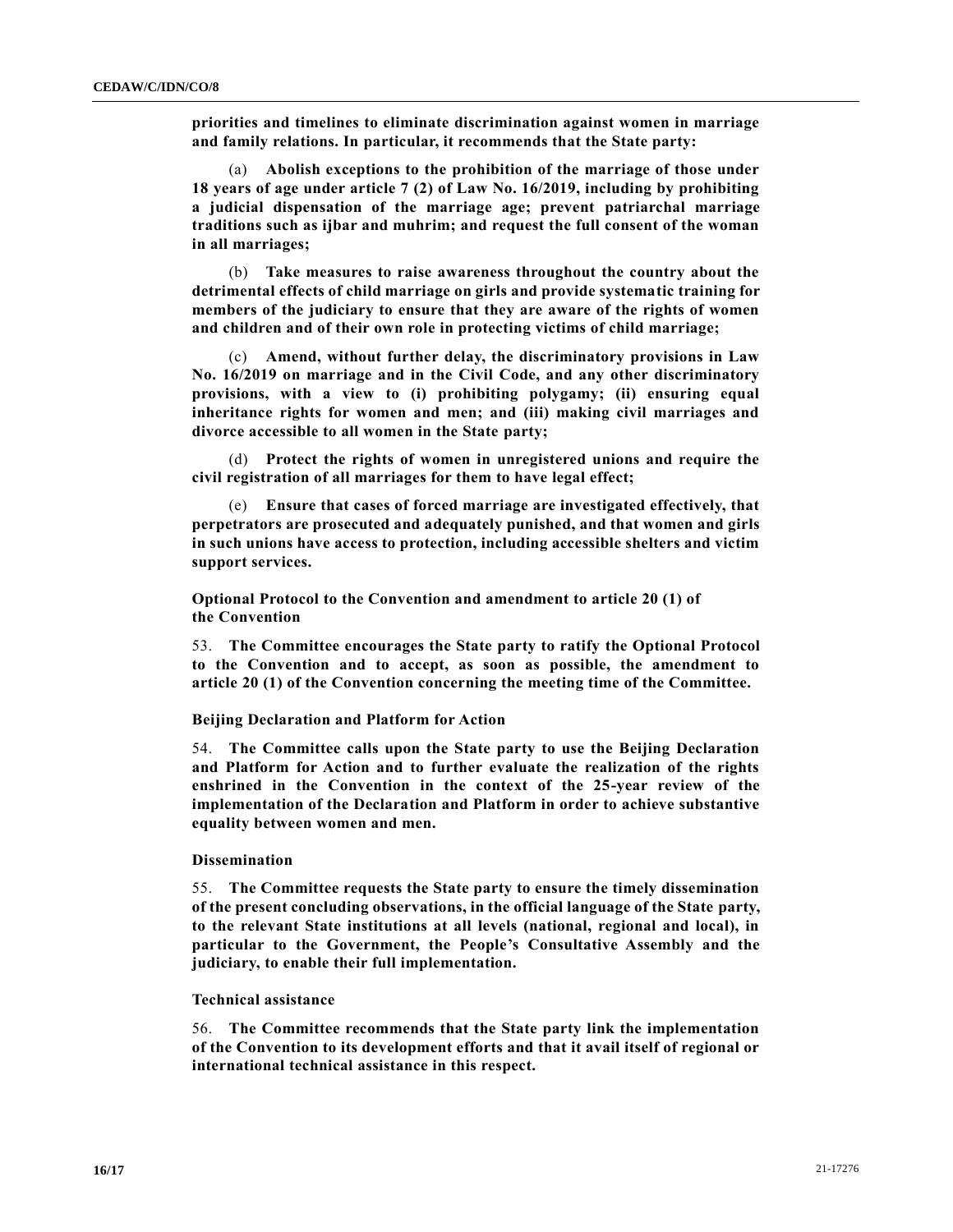**priorities and timelines to eliminate discrimination against women in marriage and family relations. In particular, it recommends that the State party:** 

(a) **Abolish exceptions to the prohibition of the marriage of those under 18 years of age under article 7 (2) of Law No. 16/2019, including by prohibiting a judicial dispensation of the marriage age; prevent patriarchal marriage traditions such as ijbar and muhrim; and request the full consent of the woman in all marriages;**

(b) **Take measures to raise awareness throughout the country about the detrimental effects of child marriage on girls and provide systematic training for members of the judiciary to ensure that they are aware of the rights of women and children and of their own role in protecting victims of child marriage;**

(c) **Amend, without further delay, the discriminatory provisions in Law No. 16/2019 on marriage and in the Civil Code, and any other discriminatory provisions, with a view to (i) prohibiting polygamy; (ii) ensuring equal inheritance rights for women and men; and (iii) making civil marriages and divorce accessible to all women in the State party;**

(d) **Protect the rights of women in unregistered unions and require the civil registration of all marriages for them to have legal effect;**

(e) **Ensure that cases of forced marriage are investigated effectively, that perpetrators are prosecuted and adequately punished, and that women and girls in such unions have access to protection, including accessible shelters and victim support services.**

**Optional Protocol to the Convention and amendment to article 20 (1) of the Convention** 

53. **The Committee encourages the State party to ratify the Optional Protocol to the Convention and to accept, as soon as possible, the amendment to article 20 (1) of the Convention concerning the meeting time of the Committee.**

# **Beijing Declaration and Platform for Action**

54. **The Committee calls upon the State party to use the Beijing Declaration and Platform for Action and to further evaluate the realization of the rights enshrined in the Convention in the context of the 25-year review of the implementation of the Declaration and Platform in order to achieve substantive equality between women and men.**

# **Dissemination**

55. **The Committee requests the State party to ensure the timely dissemination of the present concluding observations, in the official language of the State party, to the relevant State institutions at all levels (national, regional and local), in particular to the Government, the People's Consultative Assembly and the judiciary, to enable their full implementation.**

#### **Technical assistance**

56. **The Committee recommends that the State party link the implementation of the Convention to its development efforts and that it avail itself of regional or international technical assistance in this respect.**